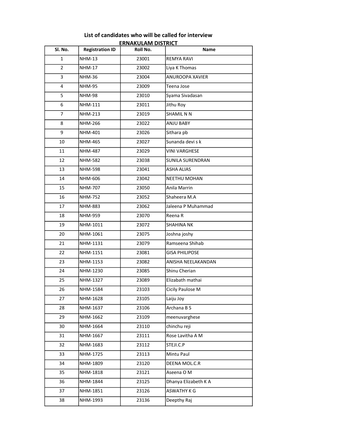| Sl. No.        | <b>Registration ID</b> | <u>ERNAKULAMI DISTRICI </u><br>Roll No. | Name                   |
|----------------|------------------------|-----------------------------------------|------------------------|
| $\mathbf{1}$   | <b>NHM-13</b>          | 23001                                   | <b>REMYA RAVI</b>      |
| $\overline{2}$ | NHM-17                 | 23002                                   |                        |
|                |                        |                                         | Liya K Thomas          |
| 3              | <b>NHM-36</b>          | 23004                                   | <b>ANUROOPA XAVIER</b> |
| 4              | <b>NHM-95</b>          | 23009                                   | Teena Jose             |
| 5              | <b>NHM-98</b>          | 23010                                   | Syama Sivadasan        |
| 6              | <b>NHM-111</b>         | 23011                                   | Jithu Roy              |
| $\overline{7}$ | <b>NHM-213</b>         | 23019                                   | SHAMIL N N             |
| 8              | NHM-266                | 23022                                   | ANJU BABY              |
| 9              | NHM-401                | 23026                                   | Sithara pb             |
| 10             | <b>NHM-465</b>         | 23027                                   | Sunanda devi s k       |
| 11             | <b>NHM-487</b>         | 23029                                   | <b>VINI VARGHESE</b>   |
| 12             | <b>NHM-582</b>         | 23038                                   | SUNILA SURENDRAN       |
| 13             | <b>NHM-598</b>         | 23041                                   | ASHA ALIAS             |
| 14             | NHM-606                | 23042                                   | <b>NEETHU MOHAN</b>    |
| 15             | NHM-707                | 23050                                   | Anila Marrin           |
| 16             | <b>NHM-752</b>         | 23052                                   | Shaheera M.A           |
| 17             | NHM-883                | 23062                                   | Jaleena P Muhammad     |
| 18             | NHM-959                | 23070                                   | Reena R                |
| 19             | NHM-1011               | 23072                                   | <b>SHAHINA NK</b>      |
| 20             | NHM-1061               | 23075                                   | Joshna joshy           |
| 21             | NHM-1131               | 23079                                   | Ramseena Shihab        |
| 22             | NHM-1151               | 23081                                   | <b>GISA PHILIPOSE</b>  |
| 23             | NHM-1153               | 23082                                   | ANISHA NEELAKANDAN     |
| 24             | NHM-1230               | 23085                                   | Shinu Cherian          |
| 25             | NHM-1327               | 23089                                   | Elizabath mathai       |
| 26             | NHM-1584               | 23103                                   | Cicily Paulose M       |
| 27             | NHM-1628               | 23105                                   | Laiju Joy              |
| 28             | NHM-1637               | 23106                                   | Archana B S            |
| 29             | NHM-1662               | 23109                                   | meenuvarghese          |
| 30             | NHM-1664               | 23110                                   | chinchu reji           |
| 31             | NHM-1667               | 23111                                   | Rose Lavitha A M       |
| 32             | NHM-1683               | 23112                                   | STEJI.C.P              |
| 33             | NHM-1725               | 23113                                   | Mintu Paul             |
| 34             | NHM-1809               | 23120                                   | DEENA MOL.C.R          |
| 35             | NHM-1818               | 23121                                   | Aseena O M             |
| 36             | NHM-1844               | 23125                                   | Dhanya Elizabeth K A   |
| 37             | NHM-1851               | 23126                                   | ASWATHY K G            |
| 38             | NHM-1993               | 23136                                   | Deepthy Raj            |

## List of candidates who will be called for interview ERNAKULAM DISTRICT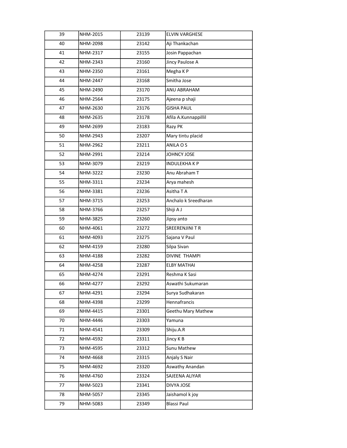| 39 | NHM-2015 | 23139 | <b>ELVIN VARGHESE</b> |
|----|----------|-------|-----------------------|
| 40 | NHM-2098 | 23142 | Aji Thankachan        |
| 41 | NHM-2317 | 23155 | Josin Pappachan       |
| 42 | NHM-2343 | 23160 | Jincy Paulose A       |
| 43 | NHM-2350 | 23161 | Megha K P             |
| 44 | NHM-2447 | 23168 | Smitha Jose           |
| 45 | NHM-2490 | 23170 | ANU ABRAHAM           |
| 46 | NHM-2564 | 23175 | Ajeena p shaji        |
| 47 | NHM-2630 | 23176 | <b>GISHA PAUL</b>     |
| 48 | NHM-2635 | 23178 | Afila A.Kunnappillil  |
| 49 | NHM-2699 | 23183 | Razy PK               |
| 50 | NHM-2943 | 23207 | Mary tintu placid     |
| 51 | NHM-2962 | 23211 | ANILA O S             |
| 52 | NHM-2991 | 23214 | JOHNCY JOSE           |
| 53 | NHM-3079 | 23219 | <b>INDULEKHAKP</b>    |
| 54 | NHM-3222 | 23230 | Anu Abraham T         |
| 55 | NHM-3311 | 23234 | Arya mahesh           |
| 56 | NHM-3381 | 23236 | Asitha TA             |
| 57 | NHM-3715 | 23253 | Anchalo k Sreedharan  |
| 58 | NHM-3766 | 23257 | Shiji A J             |
| 59 | NHM-3825 | 23260 | Jipsy anto            |
| 60 | NHM-4061 | 23272 | SREERENJINI TR        |
| 61 | NHM-4093 | 23275 | Sajana V Paul         |
| 62 | NHM-4159 | 23280 | Silpa Sivan           |
| 63 | NHM-4188 | 23282 | <b>DIVINE THAMPI</b>  |
| 64 | NHM-4258 | 23287 | <b>ELBY MATHAI</b>    |
| 65 | NHM-4274 | 23291 | Reshma K Sasi         |
| 66 | NHM-4277 | 23292 | Aswathi Sukumaran     |
| 67 | NHM-4291 | 23294 | Surya Sudhakaran      |
| 68 | NHM-4398 | 23299 | Hennafrancis          |
| 69 | NHM-4415 | 23301 | Geethu Mary Mathew    |
| 70 | NHM-4446 | 23303 | Yamuna                |
| 71 | NHM-4541 | 23309 | Shiju.A.R             |
| 72 | NHM-4592 | 23311 | Jincy K B             |
| 73 | NHM-4595 | 23312 | Sunu Mathew           |
| 74 | NHM-4668 | 23315 | Anjaly S Nair         |
| 75 | NHM-4692 | 23320 | Aswathy Anandan       |
| 76 | NHM-4760 | 23324 | SAJEENA ALIYAR        |
| 77 | NHM-5023 | 23341 | DIVYA JOSE            |
| 78 | NHM-5057 | 23345 | Jaishamol k joy       |
| 79 | NHM-5083 | 23349 | <b>Blassi Paul</b>    |
|    |          |       |                       |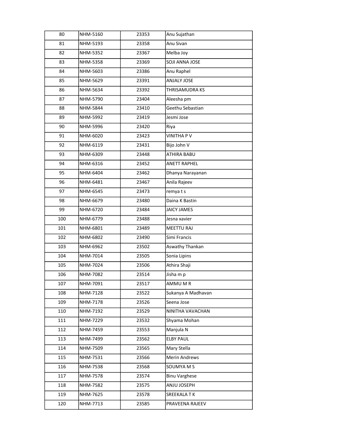| 80  | NHM-5160 | 23353 | Anu Sujathan         |
|-----|----------|-------|----------------------|
| 81  | NHM-5193 | 23358 | Anu Sivan            |
| 82  | NHM-5352 | 23367 | Melba Joy            |
| 83  | NHM-5358 | 23369 | SOJI ANNA JOSE       |
| 84  | NHM-5603 | 23386 | Anu Raphel           |
| 85  | NHM-5629 | 23391 | ANJALY JOSE          |
| 86  | NHM-5634 | 23392 | THRISAMUDRA KS       |
| 87  | NHM-5790 | 23404 | Aleesha pm           |
| 88  | NHM-5844 | 23410 | Geethu Sebastian     |
| 89  | NHM-5992 | 23419 | Jesmi Jose           |
| 90  | NHM-5996 | 23420 | Riya                 |
| 91  | NHM-6020 | 23423 | <b>VINITHA P V</b>   |
| 92  | NHM-6119 | 23431 | Bijo John V          |
| 93  | NHM-6309 | 23448 | ATHIRA BABU          |
| 94  | NHM-6316 | 23452 | <b>ANETT RAPHEL</b>  |
| 95  | NHM-6404 | 23462 | Dhanya Narayanan     |
| 96  | NHM-6481 | 23467 | Anila Rajeev         |
| 97  | NHM-6545 | 23473 | remya t s            |
| 98  | NHM-6679 | 23480 | Daina K Bastin       |
| 99  | NHM-6720 | 23484 | <b>JAICY JAMES</b>   |
| 100 | NHM-6779 | 23488 | Jesna xavier         |
| 101 | NHM-6801 | 23489 | <b>MEETTU RAJ</b>    |
| 102 | NHM-6802 | 23490 | Simi Francis         |
| 103 | NHM-6962 | 23502 | Aswathy Thankan      |
| 104 | NHM-7014 | 23505 | Sonia Lipins         |
| 105 | NHM-7024 | 23506 | Athira Shaji         |
| 106 | NHM-7082 | 23514 | Jisha m p            |
| 107 | NHM-7091 | 23517 | AMMU M R             |
| 108 | NHM-7128 | 23522 | Sukanya A Madhavan   |
| 109 | NHM-7178 | 23526 | Seena Jose           |
| 110 | NHM-7192 | 23529 | NINITHA VAVACHAN     |
| 111 | NHM-7229 | 23532 | Shyama Mohan         |
| 112 | NHM-7459 | 23553 | Manjula N            |
| 113 | NHM-7499 | 23562 | <b>ELBY PAUL</b>     |
| 114 | NHM-7509 | 23565 | Mary Stella          |
| 115 | NHM-7531 | 23566 | Merin Andrews        |
| 116 | NHM-7538 | 23568 | SOUMYA M S           |
| 117 | NHM-7578 | 23574 | <b>Binu Varghese</b> |
| 118 | NHM-7582 | 23575 | ANJU JOSEPH          |
| 119 | NHM-7625 | 23578 | SREEKALA TK          |
| 120 | NHM-7713 | 23585 | PRAVEENA RAJEEV      |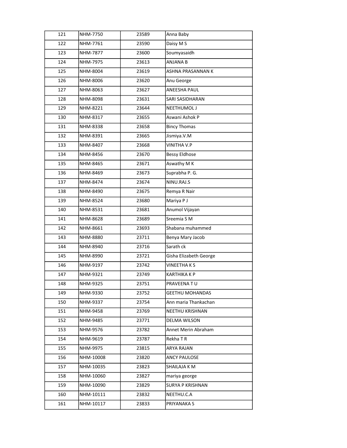| 121 | NHM-7750  | 23589 | Anna Baby              |
|-----|-----------|-------|------------------------|
| 122 | NHM-7761  | 23590 | Daisy M S              |
| 123 | NHM-7877  | 23600 | Soumyasaidh            |
| 124 | NHM-7975  | 23613 | ANJANA B               |
| 125 | NHM-8004  | 23619 | ASHNA PRASANNAN K      |
| 126 | NHM-8006  | 23620 | Anu George             |
| 127 | NHM-8063  | 23627 | ANEESHA PAUL           |
| 128 | NHM-8098  | 23631 | SARI SASIDHARAN        |
| 129 | NHM-8221  | 23644 | NEETHUMOL J            |
| 130 | NHM-8317  | 23655 | Aswani Ashok P         |
| 131 | NHM-8338  | 23658 | <b>Bincy Thomas</b>    |
| 132 | NHM-8391  | 23665 | Jismiya.V.M            |
| 133 | NHM-8407  | 23668 | <b>VINITHA V.P</b>     |
| 134 | NHM-8456  | 23670 | <b>Bessy Eldhose</b>   |
| 135 | NHM-8465  | 23671 | Aswathy M K            |
| 136 | NHM-8469  | 23673 | Suprabha P. G.         |
| 137 | NHM-8474  | 23674 | NINU.RAJ.S             |
| 138 | NHM-8490  | 23675 | Remya R Nair           |
| 139 | NHM-8524  | 23680 | Mariya P J             |
| 140 | NHM-8531  | 23681 | Anumol Vijayan         |
| 141 | NHM-8628  | 23689 | Sreemia S M            |
| 142 | NHM-8661  | 23693 | Shabana muhammed       |
| 143 | NHM-8880  | 23711 | Benya Mary Jacob       |
| 144 | NHM-8940  | 23716 | Sarath ck              |
| 145 | NHM-8990  | 23721 | Gisha Elizabeth George |
| 146 | NHM-9197  | 23742 | <b>VINEETHAKS</b>      |
| 147 | NHM-9321  | 23749 | <b>KARTHIKA K P</b>    |
| 148 | NHM-9325  | 23751 | PRAVEENA TU            |
| 149 | NHM-9330  | 23752 | <b>GEETHU MOHANDAS</b> |
| 150 | NHM-9337  | 23754 | Ann maria Thankachan   |
| 151 | NHM-9458  | 23769 | NEETHU KRISHNAN        |
| 152 | NHM-9485  | 23771 | <b>DELMA WILSON</b>    |
| 153 | NHM-9576  | 23782 | Annet Merin Abraham    |
| 154 | NHM-9619  | 23787 | Rekha T R              |
| 155 | NHM-9975  | 23815 | ARYA RAJAN             |
| 156 | NHM-10008 | 23820 | <b>ANCY PAULOSE</b>    |
| 157 | NHM-10035 | 23823 | SHAILAJA K M           |
| 158 | NHM-10060 | 23827 | mariya george          |
| 159 | NHM-10090 | 23829 | SURYA P KRISHNAN       |
| 160 | NHM-10111 | 23832 | NEETHU.C.A             |
| 161 | NHM-10117 | 23833 | PRIYANAKA S            |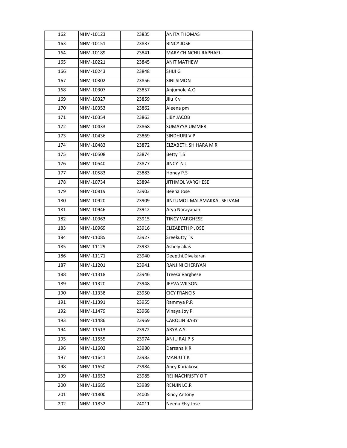| 162 | NHM-10123 | 23835 | <b>ANITA THOMAS</b>         |
|-----|-----------|-------|-----------------------------|
| 163 | NHM-10151 | 23837 | <b>BINCY JOSE</b>           |
| 164 | NHM-10189 | 23841 | <b>MARY CHINCHU RAPHAEL</b> |
| 165 | NHM-10221 | 23845 | <b>ANIT MATHEW</b>          |
| 166 | NHM-10243 | 23848 | SHIJI G                     |
| 167 | NHM-10302 | 23856 | <b>SINI SIMON</b>           |
| 168 | NHM-10307 | 23857 | Anjumole A.O                |
| 169 | NHM-10327 | 23859 | Jilu K v                    |
| 170 | NHM-10353 | 23862 | Aleena pm                   |
| 171 | NHM-10354 | 23863 | LIBY JACOB                  |
| 172 | NHM-10433 | 23868 | <b>SUMAYYA UMMER</b>        |
| 173 | NHM-10436 | 23869 | SINDHURI V P                |
| 174 | NHM-10483 | 23872 | ELZABETH SHIHARA M R        |
| 175 | NHM-10508 | 23874 | Betty T.S                   |
| 176 | NHM-10540 | 23877 | JINCY NJ                    |
| 177 | NHM-10583 | 23883 | Honey P.S                   |
| 178 | NHM-10734 | 23894 | <b>JITHMOL VARGHESE</b>     |
| 179 | NHM-10819 | 23903 | Beena Jose                  |
| 180 | NHM-10920 | 23909 | JINTUMOL MALAMAKKAL SELVAM  |
| 181 | NHM-10946 | 23912 | Arya Narayanan              |
| 182 | NHM-10963 | 23915 | <b>TINCY VARGHESE</b>       |
| 183 | NHM-10969 | 23916 | <b>ELIZABETH P JOSE</b>     |
| 184 | NHM-11085 | 23927 | Sreekutty TK                |
| 185 | NHM-11129 | 23932 | Ashely alias                |
| 186 | NHM-11171 | 23940 | Deepthi.Divakaran           |
| 187 | NHM-11201 | 23941 | RANJINI CHERIYAN            |
| 188 | NHM-11318 | 23946 | Treesa Varghese             |
| 189 | NHM-11320 | 23948 | JEEVA WILSON                |
| 190 | NHM-11338 | 23950 | <b>CICY FRANCIS</b>         |
| 191 | NHM-11391 | 23955 | Rammya P.R                  |
| 192 | NHM-11479 | 23968 | Vinaya Joy P                |
| 193 | NHM-11486 | 23969 | <b>CAROLIN BABY</b>         |
| 194 | NHM-11513 | 23972 | ARYA A S                    |
| 195 | NHM-11555 | 23974 | ANJU RAJ P S                |
| 196 | NHM-11602 | 23980 | Darsana KR                  |
| 197 | NHM-11641 | 23983 | MANJU TK                    |
| 198 | NHM-11650 | 23984 | Ancy Kuriakose              |
| 199 | NHM-11653 | 23985 | REJINACHRISTY O T           |
| 200 | NHM-11685 | 23989 | RENJINI.O.R                 |
| 201 | NHM-11800 | 24005 | <b>Rincy Antony</b>         |
| 202 | NHM-11832 | 24011 | Neenu Elsy Jose             |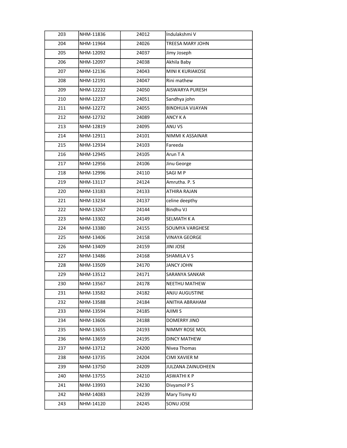| 203 | NHM-11836 | 24012 | Indulakshmi V           |
|-----|-----------|-------|-------------------------|
| 204 | NHM-11964 | 24026 | <b>TREESA MARY JOHN</b> |
| 205 | NHM-12092 | 24037 | Jimy Joseph             |
| 206 | NHM-12097 | 24038 | Akhila Baby             |
| 207 | NHM-12136 | 24043 | MINI K KURIAKOSE        |
| 208 | NHM-12191 | 24047 | Rini mathew             |
| 209 | NHM-12222 | 24050 | AISWARYA PURESH         |
| 210 | NHM-12237 | 24051 | Sandhya john            |
| 211 | NHM-12272 | 24055 | <b>BINDHUJA VIJAYAN</b> |
| 212 | NHM-12732 | 24089 | ANCY K A                |
| 213 | NHM-12819 | 24095 | ANU VS                  |
| 214 | NHM-12911 | 24101 | NIMMI K ASSAINAR        |
| 215 | NHM-12934 | 24103 | Fareeda                 |
| 216 | NHM-12945 | 24105 | Arun T A                |
| 217 | NHM-12956 | 24106 | Jinu George             |
| 218 | NHM-12996 | 24110 | SAGI M P                |
| 219 | NHM-13117 | 24124 | Amrutha. P. S.          |
| 220 | NHM-13183 | 24133 | ATHIRA RAJAN            |
| 221 | NHM-13234 | 24137 | celine deepthy          |
| 222 | NHM-13267 | 24144 | Bindhu VJ               |
| 223 | NHM-13302 | 24149 | SELMATH K A             |
| 224 | NHM-13380 | 24155 | SOUMYA VARGHESE         |
| 225 | NHM-13406 | 24158 | <b>VINAYA GEORGE</b>    |
| 226 | NHM-13409 | 24159 | <b>JINI JOSE</b>        |
| 227 | NHM-13486 | 24168 | SHAMILA V S             |
| 228 | NHM-13509 | 24170 | <b>JANCY JOHN</b>       |
| 229 | NHM-13512 | 24171 | SARANYA SANKAR          |
| 230 | NHM-13567 | 24178 | NEETHU MATHEW           |
| 231 | NHM-13582 | 24182 | ANJU AUGUSTINE          |
| 232 | NHM-13588 | 24184 | ANITHA ABRAHAM          |
| 233 | NHM-13594 | 24185 | AJIMI S                 |
| 234 | NHM-13606 | 24188 | DOMERRY JINO            |
| 235 | NHM-13655 | 24193 | NIMMY ROSE MOL          |
| 236 | NHM-13659 | 24195 | <b>DINCY MATHEW</b>     |
| 237 | NHM-13712 | 24200 | Nivea Thomas            |
| 238 | NHM-13735 | 24204 | CIMI XAVIER M           |
| 239 | NHM-13750 | 24209 | JULZANA ZAINUDHEEN      |
| 240 | NHM-13755 | 24210 | <b>ASWATHIKP</b>        |
| 241 | NHM-13993 | 24230 | Divyamol P S            |
| 242 | NHM-14083 | 24239 | Mary Tismy KJ           |
| 243 | NHM-14120 | 24245 | SONU JOSE               |
|     |           |       |                         |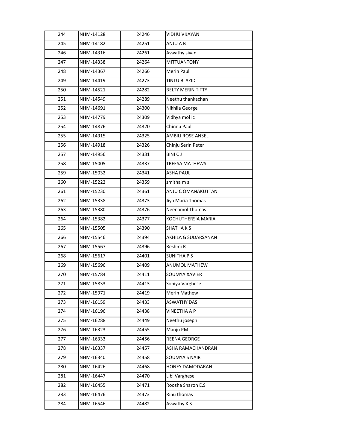| 244 | NHM-14128 | 24246 | <b>VIDHU VIJAYAN</b>     |
|-----|-----------|-------|--------------------------|
| 245 | NHM-14182 | 24251 | ANJU A B                 |
| 246 | NHM-14316 | 24261 | Aswathy sivan            |
| 247 | NHM-14338 | 24264 | <b>MITTUANTONY</b>       |
| 248 | NHM-14367 | 24266 | Merin Paul               |
| 249 | NHM-14419 | 24273 | <b>TINTU BLAZID</b>      |
| 250 | NHM-14521 | 24282 | <b>BELTY MERIN TITTY</b> |
| 251 | NHM-14549 | 24289 | Neethu thankachan        |
| 252 | NHM-14691 | 24300 | Nikhila George           |
| 253 | NHM-14779 | 24309 | Vidhya mol ic            |
| 254 | NHM-14876 | 24320 | Chinnu Paul              |
| 255 | NHM-14915 | 24325 | <b>AMBILI ROSE ANSEL</b> |
| 256 | NHM-14918 | 24326 | Chinju Serin Peter       |
| 257 | NHM-14956 | 24331 | <b>BINICJ</b>            |
| 258 | NHM-15005 | 24337 | <b>TREESA MATHEWS</b>    |
| 259 | NHM-15032 | 24341 | <b>ASHA PAUL</b>         |
| 260 | NHM-15222 | 24359 | smitha m s               |
| 261 | NHM-15230 | 24361 | ANJU C OMANAKUTTAN       |
| 262 | NHM-15338 | 24373 | Jiya Maria Thomas        |
| 263 | NHM-15380 | 24376 | <b>Neenamol Thomas</b>   |
| 264 | NHM-15382 | 24377 | KOCHUTHERSIA MARIA       |
| 265 | NHM-15505 | 24390 | <b>SHATHAKS</b>          |
| 266 | NHM-15546 | 24394 | AKHILA G SUDARSANAN      |
| 267 | NHM-15567 | 24396 | Reshmi R                 |
| 268 | NHM-15617 | 24401 | <b>SUNITHAPS</b>         |
| 269 | NHM-15696 | 24409 | ANUMOL MATHEW            |
| 270 | NHM-15784 | 24411 | SOUMYA XAVIER            |
| 271 | NHM-15833 | 24413 | Soniya Varghese          |
| 272 | NHM-15971 | 24419 | Merin Mathew             |
| 273 | NHM-16159 | 24433 | <b>ASWATHY DAS</b>       |
| 274 | NHM-16196 | 24438 | <b>VINEETHA A P</b>      |
| 275 | NHM-16288 | 24449 | Neethu joseph            |
| 276 | NHM-16323 | 24455 | Manju PM                 |
| 277 | NHM-16333 | 24456 | REENA GEORGE             |
| 278 | NHM-16337 | 24457 | ASHA RAMACHANDRAN        |
| 279 | NHM-16340 | 24458 | SOUMYA S NAIR            |
| 280 | NHM-16426 | 24468 | HONEY DAMODARAN          |
| 281 | NHM-16447 | 24470 | Libi Varghese            |
| 282 | NHM-16455 | 24471 | Roosha Sharon E.S        |
| 283 | NHM-16476 | 24473 | Rinu thomas              |
| 284 | NHM-16546 | 24482 | Aswathy K S              |
|     |           |       |                          |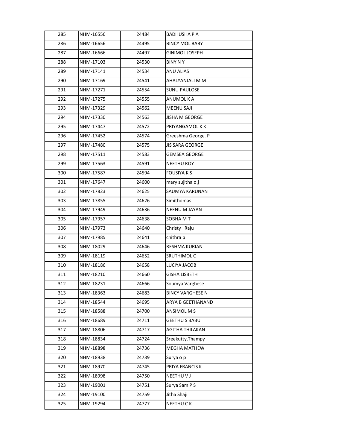| 285 | NHM-16556 | 24484 | <b>BADHUSHAPA</b>       |
|-----|-----------|-------|-------------------------|
| 286 | NHM-16656 | 24495 | <b>BINCY MOL BABY</b>   |
| 287 | NHM-16666 | 24497 | GINIMOL JOSEPH          |
| 288 | NHM-17103 | 24530 | <b>BINY N Y</b>         |
| 289 | NHM-17141 | 24534 | ANU ALIAS               |
| 290 | NHM-17169 | 24541 | AHALYANJALI M M         |
| 291 | NHM-17271 | 24554 | <b>SUNU PAULOSE</b>     |
| 292 | NHM-17275 | 24555 | ANUMOL K A              |
| 293 | NHM-17329 | 24562 | MEENU SAJI              |
| 294 | NHM-17330 | 24563 | JISHA M GEORGE          |
| 295 | NHM-17447 | 24572 | PRIYANGAMOL K K         |
| 296 | NHM-17452 | 24574 | Greeshma George. P      |
| 297 | NHM-17480 | 24575 | <b>JIS SARA GEORGE</b>  |
| 298 | NHM-17511 | 24583 | <b>GEMSEA GEORGE</b>    |
| 299 | NHM-17563 | 24591 | NEETHU ROY              |
| 300 | NHM-17587 | 24594 | <b>FOUSIYAKS</b>        |
| 301 | NHM-17647 | 24600 | mary sujitha o.j        |
| 302 | NHM-17823 | 24625 | SAUMYA KARUNAN          |
| 303 | NHM-17855 | 24626 | Simithomas              |
| 304 | NHM-17949 | 24636 | NEENU M JAYAN           |
| 305 | NHM-17957 | 24638 | SOBHA M T               |
| 306 | NHM-17973 | 24640 | Christy Raju            |
| 307 | NHM-17985 | 24641 | chithra p               |
| 308 | NHM-18029 | 24646 | RESHMA KURIAN           |
| 309 | NHM-18119 | 24652 | SRUTHIMOL C             |
| 310 | NHM-18186 | 24658 | LUCIYA JACOB            |
| 311 | NHM-18210 | 24660 | GISHA LISBETH           |
| 312 | NHM-18231 | 24666 | Soumya Varghese         |
| 313 | NHM-18363 | 24683 | <b>BINCY VARGHESE N</b> |
| 314 | NHM-18544 | 24695 | ARYA B GEETHANAND       |
| 315 | NHM-18588 | 24700 | ANSIMOL M S             |
| 316 | NHM-18689 | 24711 | <b>GEETHU S BABU</b>    |
| 317 | NHM-18806 | 24717 | <b>AGITHA THILAKAN</b>  |
| 318 | NHM-18834 | 24724 | Sreekutty.Thampy        |
| 319 | NHM-18898 | 24736 | <b>MEGHA MATHEW</b>     |
| 320 | NHM-18938 | 24739 | Surya o p               |
| 321 | NHM-18970 | 24745 | PRIYA FRANCIS K         |
| 322 | NHM-18998 | 24750 | NEETHUVJ                |
| 323 | NHM-19001 | 24751 | Surya Sam P S           |
| 324 | NHM-19100 | 24759 | Jitha Shaji             |
| 325 | NHM-19294 | 24777 | NEETHU C K              |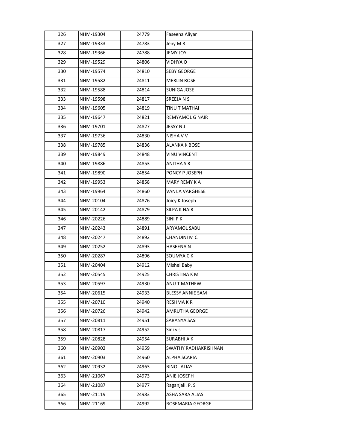| 326 | NHM-19304 | 24779 | Faseena Aliyar         |
|-----|-----------|-------|------------------------|
| 327 | NHM-19333 | 24783 | Jeny MR                |
| 328 | NHM-19366 | 24788 | JEMY JOY               |
| 329 | NHM-19529 | 24806 | VIDHYA O               |
| 330 | NHM-19574 | 24810 | <b>SEBY GEORGE</b>     |
| 331 | NHM-19582 | 24811 | <b>MERLIN ROSE</b>     |
| 332 | NHM-19588 | 24814 | SUNIGA JOSE            |
| 333 | NHM-19598 | 24817 | SREEJA N S             |
| 334 | NHM-19605 | 24819 | TINU T MATHAI          |
| 335 | NHM-19647 | 24821 | REMYAMOL G NAIR        |
| 336 | NHM-19701 | 24827 | JESSY N J              |
| 337 | NHM-19736 | 24830 | NISHA V V              |
| 338 | NHM-19785 | 24836 | <b>ALANKA K BOSE</b>   |
| 339 | NHM-19849 | 24848 | <b>VINU VINCENT</b>    |
| 340 | NHM-19886 | 24853 | ANITHA S R             |
| 341 | NHM-19890 | 24854 | PONCY P JOSEPH         |
| 342 | NHM-19953 | 24858 | MARY REMY K A          |
| 343 | NHM-19964 | 24860 | <b>VANIJA VARGHESE</b> |
| 344 | NHM-20104 | 24876 | Joicy K Joseph         |
| 345 | NHM-20142 | 24879 | <b>SILPA K NAIR</b>    |
| 346 | NHM-20226 | 24889 | SINI P K               |
| 347 | NHM-20243 | 24891 | ARYAMOL SABU           |
| 348 | NHM-20247 | 24892 | CHANDINI M C           |
| 349 | NHM-20252 | 24893 | <b>HASEENA N</b>       |
| 350 | NHM-20287 | 24896 | SOUMYA C K             |
| 351 | NHM-20404 | 24912 | Mishel Baby            |
| 352 | NHM-20545 | 24925 | <b>CHRISTINA KM</b>    |
| 353 | NHM-20597 | 24930 | ANU T MATHEW           |
| 354 | NHM-20615 | 24933 | BLESSY ANNIE SAM       |
| 355 | NHM-20710 | 24940 | RESHMA K R             |
| 356 | NHM-20726 | 24942 | AMRUTHA GEORGE         |
| 357 | NHM-20811 | 24951 | SARANYA SASI           |
| 358 | NHM-20817 | 24952 | Sini v s               |
| 359 | NHM-20828 | 24954 | SURABHI A K            |
| 360 | NHM-20902 | 24959 | SWATHY RADHAKRISHNAN   |
| 361 | NHM-20903 | 24960 | ALPHA SCARIA           |
| 362 | NHM-20932 | 24963 | <b>BINOL ALIAS</b>     |
| 363 | NHM-21067 | 24973 | ANIE JOSEPH            |
| 364 | NHM-21087 | 24977 | Raganjali. P. S        |
| 365 | NHM-21119 | 24983 | ASHA SARA ALIAS        |
| 366 | NHM-21169 | 24992 | ROSEMARIA GEORGE       |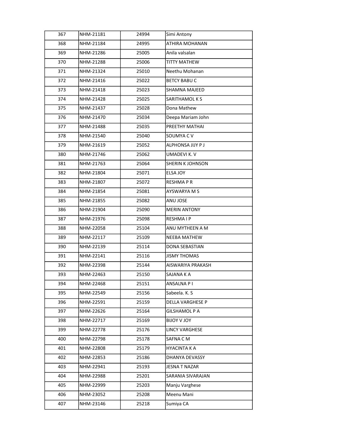| 367 | NHM-21181 | 24994 | Simi Antony           |
|-----|-----------|-------|-----------------------|
|     |           |       |                       |
| 368 | NHM-21184 | 24995 | ATHIRA MOHANAN        |
| 369 | NHM-21286 | 25005 | Anila valsalan        |
| 370 | NHM-21288 | 25006 | TITTY MATHEW          |
| 371 | NHM-21324 | 25010 | Neethu Mohanan        |
| 372 | NHM-21416 | 25022 | <b>BETCY BABU C</b>   |
| 373 | NHM-21418 | 25023 | SHAMNA MAJEED         |
| 374 | NHM-21428 | 25025 | SARITHAMOL K S        |
| 375 | NHM-21437 | 25028 | Dona Mathew           |
| 376 | NHM-21470 | 25034 | Deepa Mariam John     |
| 377 | NHM-21488 | 25035 | PREETHY MATHAI        |
| 378 | NHM-21540 | 25040 | SOUMYA C V            |
| 379 | NHM-21619 | 25052 | ALPHONSA JIJY P J     |
| 380 | NHM-21746 | 25062 | <b>UMADEVI K. V</b>   |
| 381 | NHM-21763 | 25064 | SHERIN K JOHNSON      |
| 382 | NHM-21804 | 25071 | ELSA JOY              |
| 383 | NHM-21807 | 25072 | <b>RESHMAPR</b>       |
| 384 | NHM-21854 | 25081 | AYSWARYA M S          |
| 385 | NHM-21855 | 25082 | ANU JOSE              |
| 386 | NHM-21904 | 25090 | <b>MERIN ANTONY</b>   |
| 387 | NHM-21976 | 25098 | <b>RESHMAIP</b>       |
| 388 | NHM-22058 | 25104 | ANU MYTHEEN A M       |
| 389 | NHM-22117 | 25109 | <b>NEEBA MATHEW</b>   |
| 390 | NHM-22139 | 25114 | DONA SEBASTIAN        |
| 391 | NHM-22141 | 25116 | <b>JISMY THOMAS</b>   |
| 392 | NHM-22398 | 25144 | AISWARIYA PRAKASH     |
| 393 | NHM-22463 | 25150 | SAJANA K A            |
| 394 | NHM-22468 | 25151 | ANSALNA PI            |
| 395 | NHM-22549 | 25156 | Sabeela. K. S         |
| 396 | NHM-22591 | 25159 | DELLA VARGHESE P      |
| 397 | NHM-22626 | 25164 | GILSHAMOL P A         |
| 398 | NHM-22717 | 25169 | YOL V YOUB            |
| 399 | NHM-22778 | 25176 | <b>LINCY VARGHESE</b> |
| 400 | NHM-22798 | 25178 | SAFNA CM              |
| 401 | NHM-22808 | 25179 | <b>HYACINTA K A</b>   |
| 402 | NHM-22853 | 25186 | DHANYA DEVASSY        |
| 403 | NHM-22941 | 25193 | <b>JESNA T NAZAR</b>  |
| 404 | NHM-22988 | 25201 | SARANIA SIVARAJAN     |
| 405 | NHM-22999 | 25203 | Manju Varghese        |
| 406 | NHM-23052 | 25208 | Meenu Mani            |
| 407 | NHM-23146 | 25218 | Sumiya CA             |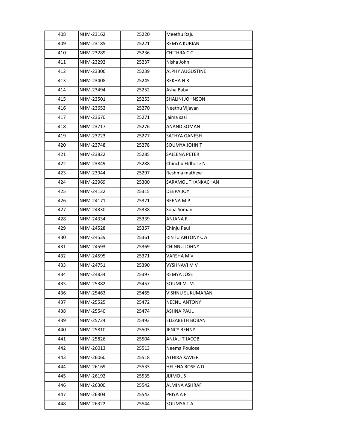| 408 | NHM-23162 | 25220 | Meethu Raju            |
|-----|-----------|-------|------------------------|
| 409 | NHM-23185 | 25221 | REMYA KURIAN           |
| 410 | NHM-23289 | 25236 | CHITHRA C C            |
| 411 | NHM-23292 | 25237 | Nisha John             |
| 412 | NHM-23306 | 25239 | ALPHY AUGUSTINE        |
| 413 | NHM-23408 | 25245 | REKHANR                |
| 414 | NHM-23494 | 25252 | Asha Baby              |
| 415 | NHM-23501 | 25253 | SHALINI JOHNSON        |
| 416 | NHM-23652 | 25270 | Neethu Vijayan         |
| 417 | NHM-23670 | 25271 | jaima sasi             |
| 418 | NHM-23717 | 25276 | <b>ANAND SOMAN</b>     |
| 419 | NHM-23723 | 25277 | SATHYA GANESH          |
| 420 | NHM-23748 | 25278 | <b>SOUMYA JOHN T</b>   |
| 421 | NHM-23822 | 25285 | SAJEENA PETER          |
| 422 | NHM-23849 | 25288 | Chinchu Eldhose N      |
| 423 | NHM-23944 | 25297 | Reshma mathew          |
| 424 | NHM-23969 | 25300 | SARAMOL THANKACHAN     |
| 425 | NHM-24122 | 25315 | DEEPA JOY              |
| 426 | NHM-24171 | 25321 | <b>BEENAMP</b>         |
| 427 | NHM-24330 | 25338 | Sona Soman             |
| 428 | NHM-24334 | 25339 | <b>ANJANA R</b>        |
| 429 | NHM-24528 | 25357 | Chinju Paul            |
| 430 | NHM-24539 | 25361 | RINTU ANTONY C A       |
| 431 | NHM-24593 | 25369 | CHINNU JOHNY           |
| 432 | NHM-24595 | 25371 | VARSHA M V             |
| 433 | NHM-24751 | 25390 | VYSHNAVI M V           |
| 434 | NHM-24834 | 25397 | REMYA JOSE             |
| 435 | NHM-25382 | 25457 | SOUMI M. M.            |
| 436 | NHM-25463 | 25465 | VISHNU SUKUMARAN       |
| 437 | NHM-25525 | 25472 | <b>NEENU ANTONY</b>    |
| 438 | NHM-25540 | 25474 | <b>ASHNA PAUL</b>      |
| 439 | NHM-25724 | 25493 | ELIZABETH BOBAN        |
| 440 | NHM-25810 | 25503 | <b>JENCY BENNY</b>     |
| 441 | NHM-25826 | 25504 | ANJALI T JACOB         |
| 442 | NHM-26013 | 25513 | Neema Poulose          |
| 443 | NHM-26060 | 25518 | ATHIRA XAVIER          |
| 444 | NHM-26169 | 25533 | <b>HELENA ROSE A D</b> |
| 445 | NHM-26192 | 25535 | <b>JIJIMOLS</b>        |
| 446 | NHM-26300 | 25542 | ALMINA ASHRAF          |
| 447 | NHM-26304 | 25543 | PRIYA A P              |
| 448 | NHM-26322 | 25544 | SOUMYATA               |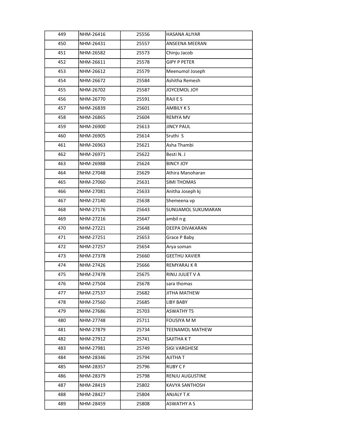| 449 | NHM-26416 | 25556 | <b>HASANA ALIYAR</b> |
|-----|-----------|-------|----------------------|
| 450 | NHM-26431 | 25557 | ANSEENA MEERAN       |
| 451 | NHM-26582 | 25573 | Chinju Jacob         |
| 452 | NHM-26611 | 25578 | <b>GIPY P PETER</b>  |
| 453 | NHM-26612 | 25579 | Meenumol Joseph      |
| 454 | NHM-26672 | 25584 | Ashitha Remesh       |
| 455 | NHM-26702 | 25587 | JOYCEMOL JOY         |
| 456 | NHM-26770 | 25591 | RAJI E S             |
| 457 | NHM-26839 | 25601 | <b>AMBILY KS</b>     |
| 458 | NHM-26865 | 25604 | <b>REMYA MV</b>      |
| 459 | NHM-26900 | 25613 | <b>JINCY PAUL</b>    |
| 460 | NHM-26905 | 25614 | Sruthi S             |
| 461 | NHM-26963 | 25621 | Asha Thambi          |
| 462 | NHM-26971 | 25622 | Besti N. J           |
| 463 | NHM-26988 | 25624 | <b>BINCY JOY</b>     |
| 464 | NHM-27048 | 25629 | Athira Manoharan     |
| 465 | NHM-27060 | 25631 | <b>SIMI THOMAS</b>   |
| 466 | NHM-27081 | 25633 | Anitha Joseph kj     |
| 467 | NHM-27140 | 25638 | Shemeena vp          |
| 468 | NHM-27176 | 25643 | SUNIJAMOL SUKUMARAN  |
| 469 | NHM-27216 | 25647 | ambil n g            |
| 470 | NHM-27221 | 25648 | DEEPA DIVAKARAN      |
| 471 | NHM-27251 | 25653 | Grace P Baby         |
| 472 | NHM-27257 | 25654 | Arya soman           |
| 473 | NHM-27378 | 25660 | <b>GEETHU XAVIER</b> |
| 474 | NHM-27426 | 25666 | REMYARAJ K R         |
| 475 | NHM-27478 | 25675 | RINU JULIET V A      |
| 476 | NHM-27504 | 25678 | sara thomas          |
| 477 | NHM-27537 | 25682 | JITHA MATHEW         |
| 478 | NHM-27560 | 25685 | LIBY BABY            |
| 479 | NHM-27686 | 25703 | <b>ASWATHY TS</b>    |
| 480 | NHM-27748 | 25711 | <b>FOUSIYA M M</b>   |
| 481 | NHM-27879 | 25734 | TEENAMOL MATHEW      |
| 482 | NHM-27912 | 25741 | SAJITHA K T          |
| 483 | NHM-27981 | 25749 | SIGI VARGHESE        |
| 484 | NHM-28346 | 25794 | AJITHA T             |
| 485 | NHM-28357 | 25796 | RUBY C F             |
| 486 | NHM-28379 | 25798 | RENJU AUGUSTINE      |
| 487 | NHM-28419 | 25802 | KAVYA SANTHOSH       |
| 488 | NHM-28427 | 25804 | ANJALY T.K           |
| 489 | NHM-28459 | 25808 | ASWATHY A S          |
|     |           |       |                      |